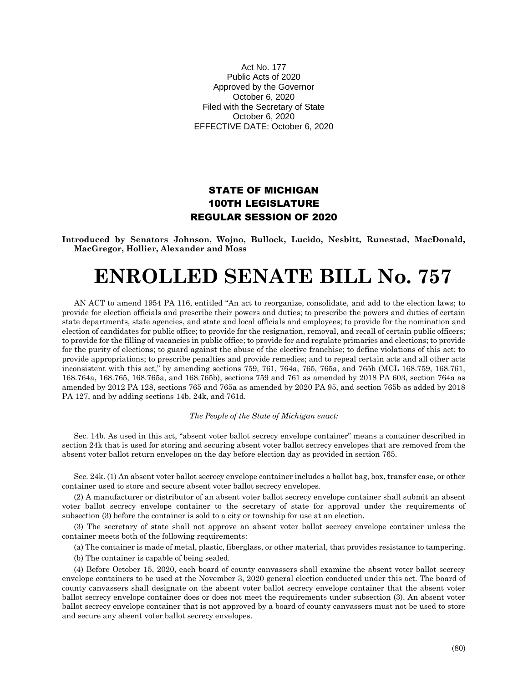Act No. 177 Public Acts of 2020 Approved by the Governor October 6, 2020 Filed with the Secretary of State October 6, 2020 EFFECTIVE DATE: October 6, 2020

## STATE OF MICHIGAN 100TH LEGISLATURE REGULAR SESSION OF 2020

**Introduced by Senators Johnson, Wojno, Bullock, Lucido, Nesbitt, Runestad, MacDonald, MacGregor, Hollier, Alexander and Moss**

# **ENROLLED SENATE BILL No. 757**

AN ACT to amend 1954 PA 116, entitled "An act to reorganize, consolidate, and add to the election laws; to provide for election officials and prescribe their powers and duties; to prescribe the powers and duties of certain state departments, state agencies, and state and local officials and employees; to provide for the nomination and election of candidates for public office; to provide for the resignation, removal, and recall of certain public officers; to provide for the filling of vacancies in public office; to provide for and regulate primaries and elections; to provide for the purity of elections; to guard against the abuse of the elective franchise; to define violations of this act; to provide appropriations; to prescribe penalties and provide remedies; and to repeal certain acts and all other acts inconsistent with this act," by amending sections 759, 761, 764a, 765, 765a, and 765b (MCL 168.759, 168.761, 168.764a, 168.765, 168.765a, and 168.765b), sections 759 and 761 as amended by 2018 PA 603, section 764a as amended by 2012 PA 128, sections 765 and 765a as amended by 2020 PA 95, and section 765b as added by 2018 PA 127, and by adding sections 14b, 24k, and 761d.

#### *The People of the State of Michigan enact:*

Sec. 14b. As used in this act, "absent voter ballot secrecy envelope container" means a container described in section 24k that is used for storing and securing absent voter ballot secrecy envelopes that are removed from the absent voter ballot return envelopes on the day before election day as provided in section 765.

Sec. 24k. (1) An absent voter ballot secrecy envelope container includes a ballot bag, box, transfer case, or other container used to store and secure absent voter ballot secrecy envelopes.

(2) A manufacturer or distributor of an absent voter ballot secrecy envelope container shall submit an absent voter ballot secrecy envelope container to the secretary of state for approval under the requirements of subsection (3) before the container is sold to a city or township for use at an election.

(3) The secretary of state shall not approve an absent voter ballot secrecy envelope container unless the container meets both of the following requirements:

(a) The container is made of metal, plastic, fiberglass, or other material, that provides resistance to tampering.

(b) The container is capable of being sealed.

(4) Before October 15, 2020, each board of county canvassers shall examine the absent voter ballot secrecy envelope containers to be used at the November 3, 2020 general election conducted under this act. The board of county canvassers shall designate on the absent voter ballot secrecy envelope container that the absent voter ballot secrecy envelope container does or does not meet the requirements under subsection (3). An absent voter ballot secrecy envelope container that is not approved by a board of county canvassers must not be used to store and secure any absent voter ballot secrecy envelopes.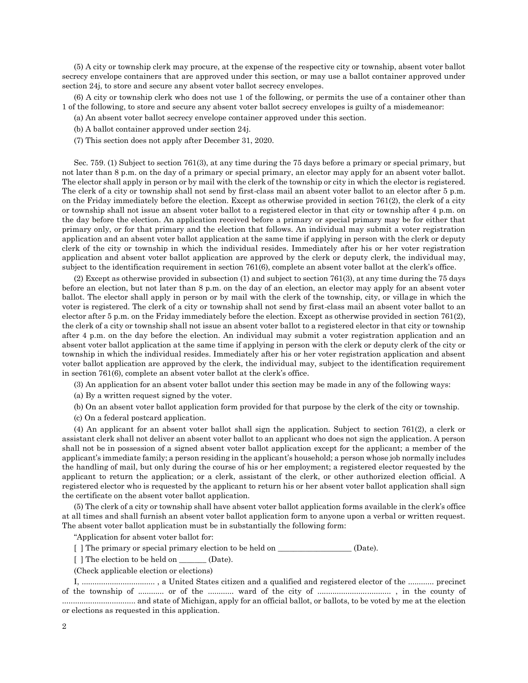(5) A city or township clerk may procure, at the expense of the respective city or township, absent voter ballot secrecy envelope containers that are approved under this section, or may use a ballot container approved under section 24j, to store and secure any absent voter ballot secrecy envelopes.

(6) A city or township clerk who does not use 1 of the following, or permits the use of a container other than 1 of the following, to store and secure any absent voter ballot secrecy envelopes is guilty of a misdemeanor:

(a) An absent voter ballot secrecy envelope container approved under this section.

- (b) A ballot container approved under section 24j.
- (7) This section does not apply after December 31, 2020.

Sec. 759. (1) Subject to section 761(3), at any time during the 75 days before a primary or special primary, but not later than 8 p.m. on the day of a primary or special primary, an elector may apply for an absent voter ballot. The elector shall apply in person or by mail with the clerk of the township or city in which the elector is registered. The clerk of a city or township shall not send by first-class mail an absent voter ballot to an elector after 5 p.m. on the Friday immediately before the election. Except as otherwise provided in section 761(2), the clerk of a city or township shall not issue an absent voter ballot to a registered elector in that city or township after 4 p.m. on the day before the election. An application received before a primary or special primary may be for either that primary only, or for that primary and the election that follows. An individual may submit a voter registration application and an absent voter ballot application at the same time if applying in person with the clerk or deputy clerk of the city or township in which the individual resides. Immediately after his or her voter registration application and absent voter ballot application are approved by the clerk or deputy clerk, the individual may, subject to the identification requirement in section 761(6), complete an absent voter ballot at the clerk's office.

(2) Except as otherwise provided in subsection (1) and subject to section 761(3), at any time during the 75 days before an election, but not later than 8 p.m. on the day of an election, an elector may apply for an absent voter ballot. The elector shall apply in person or by mail with the clerk of the township, city, or village in which the voter is registered. The clerk of a city or township shall not send by first-class mail an absent voter ballot to an elector after 5 p.m. on the Friday immediately before the election. Except as otherwise provided in section 761(2), the clerk of a city or township shall not issue an absent voter ballot to a registered elector in that city or township after 4 p.m. on the day before the election. An individual may submit a voter registration application and an absent voter ballot application at the same time if applying in person with the clerk or deputy clerk of the city or township in which the individual resides. Immediately after his or her voter registration application and absent voter ballot application are approved by the clerk, the individual may, subject to the identification requirement in section 761(6), complete an absent voter ballot at the clerk's office.

(3) An application for an absent voter ballot under this section may be made in any of the following ways:

(a) By a written request signed by the voter.

(b) On an absent voter ballot application form provided for that purpose by the clerk of the city or township.

(c) On a federal postcard application.

(4) An applicant for an absent voter ballot shall sign the application. Subject to section 761(2), a clerk or assistant clerk shall not deliver an absent voter ballot to an applicant who does not sign the application. A person shall not be in possession of a signed absent voter ballot application except for the applicant; a member of the applicant's immediate family; a person residing in the applicant's household; a person whose job normally includes the handling of mail, but only during the course of his or her employment; a registered elector requested by the applicant to return the application; or a clerk, assistant of the clerk, or other authorized election official. A registered elector who is requested by the applicant to return his or her absent voter ballot application shall sign the certificate on the absent voter ballot application.

(5) The clerk of a city or township shall have absent voter ballot application forms available in the clerk's office at all times and shall furnish an absent voter ballot application form to anyone upon a verbal or written request. The absent voter ballot application must be in substantially the following form:

"Application for absent voter ballot for:

 $\lceil \int \rceil$  The primary or special primary election to be held on  $\lceil \int \rceil$  (Date).

[ ] The election to be held on \_\_\_\_\_\_\_\_ (Date).

(Check applicable election or elections)

I, .................................. , a United States citizen and a qualified and registered elector of the ............ precinct of the township of ............ or of the ............ ward of the city of .................................. , in the county of .................................. and state of Michigan, apply for an official ballot, or ballots, to be voted by me at the election or elections as requested in this application.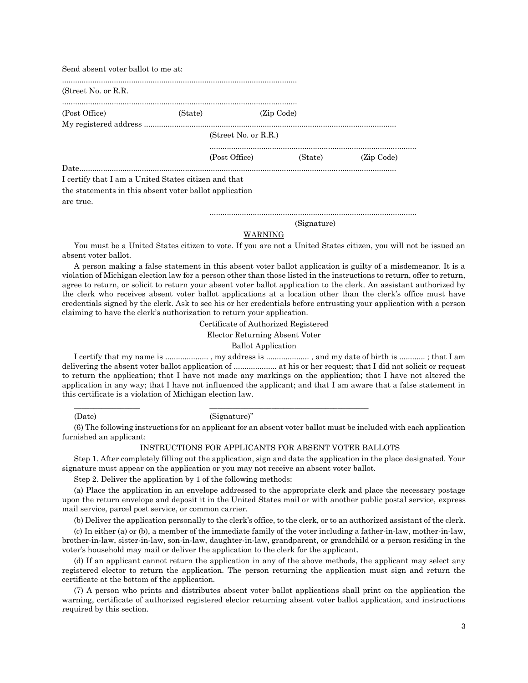| Send absent voter ballot to me at:                     |         |                      |            |         |            |
|--------------------------------------------------------|---------|----------------------|------------|---------|------------|
| (Street No. or R.R.)                                   |         |                      |            |         |            |
| (Post Office)                                          | (State) |                      | (Zip Code) |         |            |
|                                                        |         |                      |            |         |            |
|                                                        |         | (Street No. or R.R.) |            |         |            |
|                                                        |         | (Post Office)        |            | (State) | (Zip Code) |
|                                                        |         |                      |            |         |            |
| I certify that I am a United States citizen and that   |         |                      |            |         |            |
| the statements in this absent voter ballot application |         |                      |            |         |            |
| are true.                                              |         |                      |            |         |            |
|                                                        |         |                      |            |         |            |

#### (Signature)

## WARNING

You must be a United States citizen to vote. If you are not a United States citizen, you will not be issued an absent voter ballot.

A person making a false statement in this absent voter ballot application is guilty of a misdemeanor. It is a violation of Michigan election law for a person other than those listed in the instructions to return, offer to return, agree to return, or solicit to return your absent voter ballot application to the clerk. An assistant authorized by the clerk who receives absent voter ballot applications at a location other than the clerk's office must have credentials signed by the clerk. Ask to see his or her credentials before entrusting your application with a person claiming to have the clerk's authorization to return your application.

Certificate of Authorized Registered

Elector Returning Absent Voter

Ballot Application

I certify that my name is .................... , my address is .................... , and my date of birth is ............ ; that I am delivering the absent voter ballot application of .................... at his or her request; that I did not solicit or request to return the application; that I have not made any markings on the application; that I have not altered the application in any way; that I have not influenced the applicant; and that I am aware that a false statement in this certificate is a violation of Michigan election law.

(Date) (Signature)"

\_\_\_\_\_\_\_\_\_\_\_\_\_\_\_\_\_ \_\_\_\_\_\_\_\_\_\_\_\_\_\_\_\_\_\_\_\_\_\_\_\_\_\_\_\_\_\_\_\_\_\_\_\_\_\_\_\_\_

(6) The following instructions for an applicant for an absent voter ballot must be included with each application furnished an applicant:

#### INSTRUCTIONS FOR APPLICANTS FOR ABSENT VOTER BALLOTS

Step 1. After completely filling out the application, sign and date the application in the place designated. Your signature must appear on the application or you may not receive an absent voter ballot.

Step 2. Deliver the application by 1 of the following methods:

(a) Place the application in an envelope addressed to the appropriate clerk and place the necessary postage upon the return envelope and deposit it in the United States mail or with another public postal service, express mail service, parcel post service, or common carrier.

(b) Deliver the application personally to the clerk's office, to the clerk, or to an authorized assistant of the clerk.

(c) In either (a) or (b), a member of the immediate family of the voter including a father-in-law, mother-in-law, brother-in-law, sister-in-law, son-in-law, daughter-in-law, grandparent, or grandchild or a person residing in the voter's household may mail or deliver the application to the clerk for the applicant.

(d) If an applicant cannot return the application in any of the above methods, the applicant may select any registered elector to return the application. The person returning the application must sign and return the certificate at the bottom of the application.

(7) A person who prints and distributes absent voter ballot applications shall print on the application the warning, certificate of authorized registered elector returning absent voter ballot application, and instructions required by this section.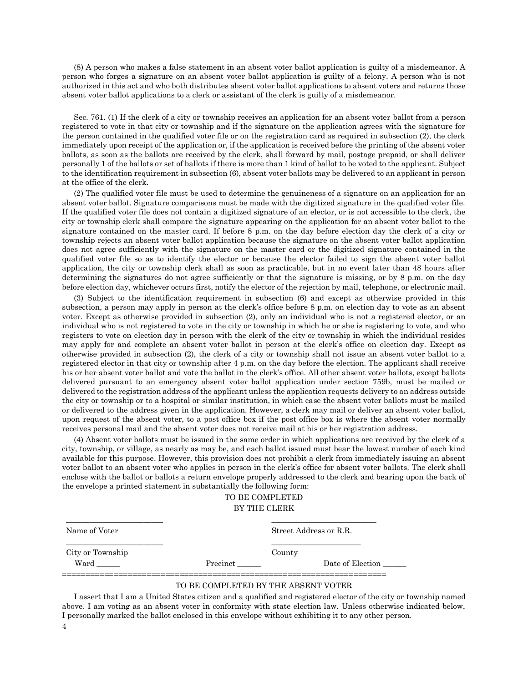(8) A person who makes a false statement in an absent voter ballot application is guilty of a misdemeanor. A person who forges a signature on an absent voter ballot application is guilty of a felony. A person who is not authorized in this act and who both distributes absent voter ballot applications to absent voters and returns those absent voter ballot applications to a clerk or assistant of the clerk is guilty of a misdemeanor.

Sec. 761. (1) If the clerk of a city or township receives an application for an absent voter ballot from a person registered to vote in that city or township and if the signature on the application agrees with the signature for the person contained in the qualified voter file or on the registration card as required in subsection (2), the clerk immediately upon receipt of the application or, if the application is received before the printing of the absent voter ballots, as soon as the ballots are received by the clerk, shall forward by mail, postage prepaid, or shall deliver personally 1 of the ballots or set of ballots if there is more than 1 kind of ballot to be voted to the applicant. Subject to the identification requirement in subsection (6), absent voter ballots may be delivered to an applicant in person at the office of the clerk.

(2) The qualified voter file must be used to determine the genuineness of a signature on an application for an absent voter ballot. Signature comparisons must be made with the digitized signature in the qualified voter file. If the qualified voter file does not contain a digitized signature of an elector, or is not accessible to the clerk, the city or township clerk shall compare the signature appearing on the application for an absent voter ballot to the signature contained on the master card. If before 8 p.m. on the day before election day the clerk of a city or township rejects an absent voter ballot application because the signature on the absent voter ballot application does not agree sufficiently with the signature on the master card or the digitized signature contained in the qualified voter file so as to identify the elector or because the elector failed to sign the absent voter ballot application, the city or township clerk shall as soon as practicable, but in no event later than 48 hours after determining the signatures do not agree sufficiently or that the signature is missing, or by 8 p.m. on the day before election day, whichever occurs first, notify the elector of the rejection by mail, telephone, or electronic mail.

(3) Subject to the identification requirement in subsection (6) and except as otherwise provided in this subsection, a person may apply in person at the clerk's office before 8 p.m. on election day to vote as an absent voter. Except as otherwise provided in subsection (2), only an individual who is not a registered elector, or an individual who is not registered to vote in the city or township in which he or she is registering to vote, and who registers to vote on election day in person with the clerk of the city or township in which the individual resides may apply for and complete an absent voter ballot in person at the clerk's office on election day. Except as otherwise provided in subsection (2), the clerk of a city or township shall not issue an absent voter ballot to a registered elector in that city or township after 4 p.m. on the day before the election. The applicant shall receive his or her absent voter ballot and vote the ballot in the clerk's office. All other absent voter ballots, except ballots delivered pursuant to an emergency absent voter ballot application under section 759b, must be mailed or delivered to the registration address of the applicant unless the application requests delivery to an address outside the city or township or to a hospital or similar institution, in which case the absent voter ballots must be mailed or delivered to the address given in the application. However, a clerk may mail or deliver an absent voter ballot, upon request of the absent voter, to a post office box if the post office box is where the absent voter normally receives personal mail and the absent voter does not receive mail at his or her registration address.

(4) Absent voter ballots must be issued in the same order in which applications are received by the clerk of a city, township, or village, as nearly as may be, and each ballot issued must bear the lowest number of each kind available for this purpose. However, this provision does not prohibit a clerk from immediately issuing an absent voter ballot to an absent voter who applies in person in the clerk's office for absent voter ballots. The clerk shall enclose with the ballot or ballots a return envelope properly addressed to the clerk and bearing upon the back of the envelope a printed statement in substantially the following form:

## TO BE COMPLETED BY THE CLERK

| Name of Voter    |          | Street Address or R.R. |
|------------------|----------|------------------------|
| City or Township |          | County                 |
| Ward             | Precinct | Date of Election       |
|                  |          |                        |

\_\_\_\_\_\_\_\_\_\_\_\_\_\_\_\_\_\_\_\_\_\_\_\_\_ \_\_\_\_\_\_\_\_\_\_\_\_\_\_\_\_\_\_\_\_\_\_\_\_\_\_\_

## TO BE COMPLETED BY THE ABSENT VOTER

4 I assert that I am a United States citizen and a qualified and registered elector of the city or township named above. I am voting as an absent voter in conformity with state election law. Unless otherwise indicated below, I personally marked the ballot enclosed in this envelope without exhibiting it to any other person.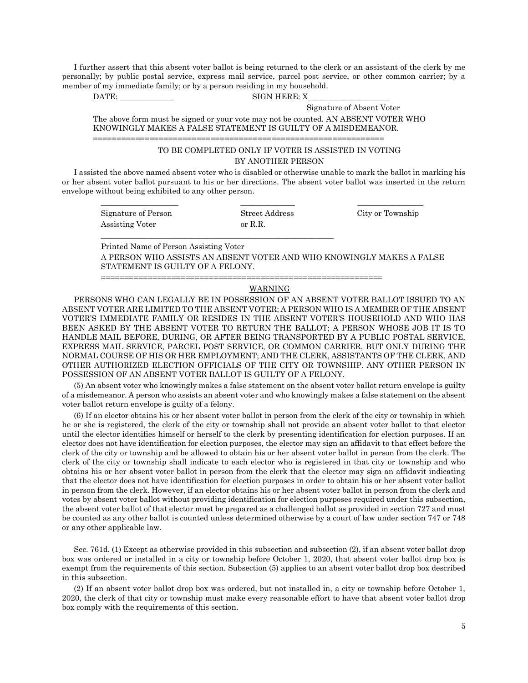I further assert that this absent voter ballot is being returned to the clerk or an assistant of the clerk by me personally; by public postal service, express mail service, parcel post service, or other common carrier; by a member of my immediate family; or by a person residing in my household.

DATE: SIGN HERE: X

Signature of Absent Voter

The above form must be signed or your vote may not be counted. AN ABSENT VOTER WHO KNOWINGLY MAKES A FALSE STATEMENT IS GUILTY OF A MISDEMEANOR.

==============================================================

\_\_\_\_\_\_\_\_\_\_\_\_\_\_\_\_\_\_\_\_\_\_\_\_\_\_\_\_\_\_\_\_\_\_\_\_\_\_\_\_\_\_\_\_\_\_\_\_\_\_\_\_\_\_\_\_\_\_\_\_

## TO BE COMPLETED ONLY IF VOTER IS ASSISTED IN VOTING BY ANOTHER PERSON

I assisted the above named absent voter who is disabled or otherwise unable to mark the ballot in marking his or her absent voter ballot pursuant to his or her directions. The absent voter ballot was inserted in the return envelope without being exhibited to any other person.

\_\_\_\_\_\_\_\_\_\_\_\_\_\_\_\_\_\_\_\_ \_\_\_\_\_\_\_\_\_\_\_\_\_\_ \_\_\_\_\_\_\_\_\_\_\_\_\_\_\_\_\_

Signature of Person Street Address City or Township Assisting Voter or R.R.

Printed Name of Person Assisting Voter A PERSON WHO ASSISTS AN ABSENT VOTER AND WHO KNOWINGLY MAKES A FALSE STATEMENT IS GUILTY OF A FELONY.

### WARNING

============================================================

PERSONS WHO CAN LEGALLY BE IN POSSESSION OF AN ABSENT VOTER BALLOT ISSUED TO AN ABSENT VOTER ARE LIMITED TO THE ABSENT VOTER; A PERSON WHO IS A MEMBER OF THE ABSENT VOTER'S IMMEDIATE FAMILY OR RESIDES IN THE ABSENT VOTER'S HOUSEHOLD AND WHO HAS BEEN ASKED BY THE ABSENT VOTER TO RETURN THE BALLOT; A PERSON WHOSE JOB IT IS TO HANDLE MAIL BEFORE, DURING, OR AFTER BEING TRANSPORTED BY A PUBLIC POSTAL SERVICE, EXPRESS MAIL SERVICE, PARCEL POST SERVICE, OR COMMON CARRIER, BUT ONLY DURING THE NORMAL COURSE OF HIS OR HER EMPLOYMENT; AND THE CLERK, ASSISTANTS OF THE CLERK, AND OTHER AUTHORIZED ELECTION OFFICIALS OF THE CITY OR TOWNSHIP. ANY OTHER PERSON IN POSSESSION OF AN ABSENT VOTER BALLOT IS GUILTY OF A FELONY.

(5) An absent voter who knowingly makes a false statement on the absent voter ballot return envelope is guilty of a misdemeanor. A person who assists an absent voter and who knowingly makes a false statement on the absent voter ballot return envelope is guilty of a felony.

(6) If an elector obtains his or her absent voter ballot in person from the clerk of the city or township in which he or she is registered, the clerk of the city or township shall not provide an absent voter ballot to that elector until the elector identifies himself or herself to the clerk by presenting identification for election purposes. If an elector does not have identification for election purposes, the elector may sign an affidavit to that effect before the clerk of the city or township and be allowed to obtain his or her absent voter ballot in person from the clerk. The clerk of the city or township shall indicate to each elector who is registered in that city or township and who obtains his or her absent voter ballot in person from the clerk that the elector may sign an affidavit indicating that the elector does not have identification for election purposes in order to obtain his or her absent voter ballot in person from the clerk. However, if an elector obtains his or her absent voter ballot in person from the clerk and votes by absent voter ballot without providing identification for election purposes required under this subsection, the absent voter ballot of that elector must be prepared as a challenged ballot as provided in section 727 and must be counted as any other ballot is counted unless determined otherwise by a court of law under section 747 or 748 or any other applicable law.

Sec. 761d. (1) Except as otherwise provided in this subsection and subsection (2), if an absent voter ballot drop box was ordered or installed in a city or township before October 1, 2020, that absent voter ballot drop box is exempt from the requirements of this section. Subsection (5) applies to an absent voter ballot drop box described in this subsection.

(2) If an absent voter ballot drop box was ordered, but not installed in, a city or township before October 1, 2020, the clerk of that city or township must make every reasonable effort to have that absent voter ballot drop box comply with the requirements of this section.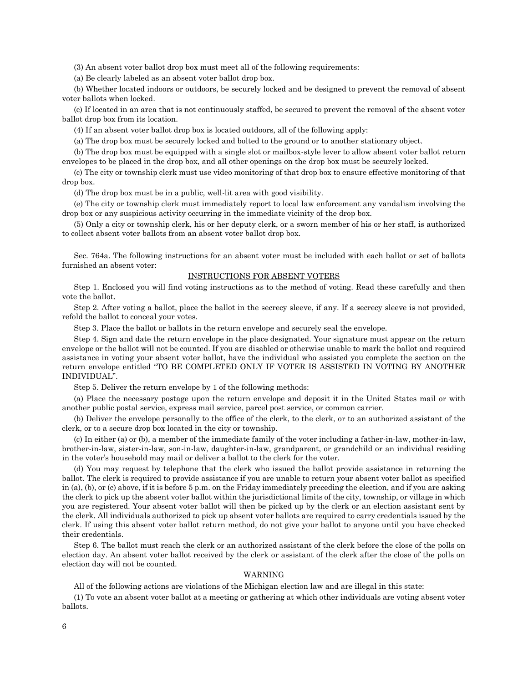(3) An absent voter ballot drop box must meet all of the following requirements:

(a) Be clearly labeled as an absent voter ballot drop box.

(b) Whether located indoors or outdoors, be securely locked and be designed to prevent the removal of absent voter ballots when locked.

(c) If located in an area that is not continuously staffed, be secured to prevent the removal of the absent voter ballot drop box from its location.

(4) If an absent voter ballot drop box is located outdoors, all of the following apply:

(a) The drop box must be securely locked and bolted to the ground or to another stationary object.

(b) The drop box must be equipped with a single slot or mailbox-style lever to allow absent voter ballot return envelopes to be placed in the drop box, and all other openings on the drop box must be securely locked.

(c) The city or township clerk must use video monitoring of that drop box to ensure effective monitoring of that drop box.

(d) The drop box must be in a public, well-lit area with good visibility.

(e) The city or township clerk must immediately report to local law enforcement any vandalism involving the drop box or any suspicious activity occurring in the immediate vicinity of the drop box.

(5) Only a city or township clerk, his or her deputy clerk, or a sworn member of his or her staff, is authorized to collect absent voter ballots from an absent voter ballot drop box.

Sec. 764a. The following instructions for an absent voter must be included with each ballot or set of ballots furnished an absent voter:

#### INSTRUCTIONS FOR ABSENT VOTERS

Step 1. Enclosed you will find voting instructions as to the method of voting. Read these carefully and then vote the ballot.

Step 2. After voting a ballot, place the ballot in the secrecy sleeve, if any. If a secrecy sleeve is not provided, refold the ballot to conceal your votes.

Step 3. Place the ballot or ballots in the return envelope and securely seal the envelope.

Step 4. Sign and date the return envelope in the place designated. Your signature must appear on the return envelope or the ballot will not be counted. If you are disabled or otherwise unable to mark the ballot and required assistance in voting your absent voter ballot, have the individual who assisted you complete the section on the return envelope entitled "TO BE COMPLETED ONLY IF VOTER IS ASSISTED IN VOTING BY ANOTHER INDIVIDUAL".

Step 5. Deliver the return envelope by 1 of the following methods:

(a) Place the necessary postage upon the return envelope and deposit it in the United States mail or with another public postal service, express mail service, parcel post service, or common carrier.

(b) Deliver the envelope personally to the office of the clerk, to the clerk, or to an authorized assistant of the clerk, or to a secure drop box located in the city or township.

(c) In either (a) or (b), a member of the immediate family of the voter including a father-in-law, mother-in-law, brother-in-law, sister-in-law, son-in-law, daughter-in-law, grandparent, or grandchild or an individual residing in the voter's household may mail or deliver a ballot to the clerk for the voter.

(d) You may request by telephone that the clerk who issued the ballot provide assistance in returning the ballot. The clerk is required to provide assistance if you are unable to return your absent voter ballot as specified in (a), (b), or (c) above, if it is before 5 p.m. on the Friday immediately preceding the election, and if you are asking the clerk to pick up the absent voter ballot within the jurisdictional limits of the city, township, or village in which you are registered. Your absent voter ballot will then be picked up by the clerk or an election assistant sent by the clerk. All individuals authorized to pick up absent voter ballots are required to carry credentials issued by the clerk. If using this absent voter ballot return method, do not give your ballot to anyone until you have checked their credentials.

Step 6. The ballot must reach the clerk or an authorized assistant of the clerk before the close of the polls on election day. An absent voter ballot received by the clerk or assistant of the clerk after the close of the polls on election day will not be counted.

#### WARNING

All of the following actions are violations of the Michigan election law and are illegal in this state:

(1) To vote an absent voter ballot at a meeting or gathering at which other individuals are voting absent voter ballots.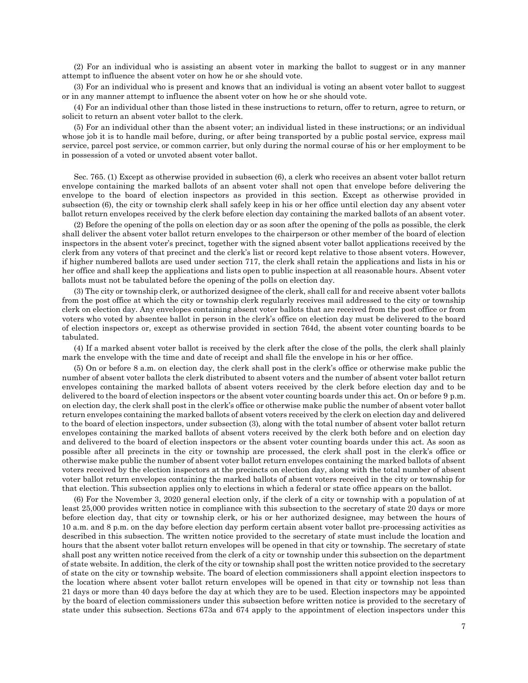(2) For an individual who is assisting an absent voter in marking the ballot to suggest or in any manner attempt to influence the absent voter on how he or she should vote.

(3) For an individual who is present and knows that an individual is voting an absent voter ballot to suggest or in any manner attempt to influence the absent voter on how he or she should vote.

(4) For an individual other than those listed in these instructions to return, offer to return, agree to return, or solicit to return an absent voter ballot to the clerk.

(5) For an individual other than the absent voter; an individual listed in these instructions; or an individual whose job it is to handle mail before, during, or after being transported by a public postal service, express mail service, parcel post service, or common carrier, but only during the normal course of his or her employment to be in possession of a voted or unvoted absent voter ballot.

Sec. 765. (1) Except as otherwise provided in subsection (6), a clerk who receives an absent voter ballot return envelope containing the marked ballots of an absent voter shall not open that envelope before delivering the envelope to the board of election inspectors as provided in this section. Except as otherwise provided in subsection (6), the city or township clerk shall safely keep in his or her office until election day any absent voter ballot return envelopes received by the clerk before election day containing the marked ballots of an absent voter.

(2) Before the opening of the polls on election day or as soon after the opening of the polls as possible, the clerk shall deliver the absent voter ballot return envelopes to the chairperson or other member of the board of election inspectors in the absent voter's precinct, together with the signed absent voter ballot applications received by the clerk from any voters of that precinct and the clerk's list or record kept relative to those absent voters. However, if higher numbered ballots are used under section 717, the clerk shall retain the applications and lists in his or her office and shall keep the applications and lists open to public inspection at all reasonable hours. Absent voter ballots must not be tabulated before the opening of the polls on election day.

(3) The city or township clerk, or authorized designee of the clerk, shall call for and receive absent voter ballots from the post office at which the city or township clerk regularly receives mail addressed to the city or township clerk on election day. Any envelopes containing absent voter ballots that are received from the post office or from voters who voted by absentee ballot in person in the clerk's office on election day must be delivered to the board of election inspectors or, except as otherwise provided in section 764d, the absent voter counting boards to be tabulated.

(4) If a marked absent voter ballot is received by the clerk after the close of the polls, the clerk shall plainly mark the envelope with the time and date of receipt and shall file the envelope in his or her office.

(5) On or before 8 a.m. on election day, the clerk shall post in the clerk's office or otherwise make public the number of absent voter ballots the clerk distributed to absent voters and the number of absent voter ballot return envelopes containing the marked ballots of absent voters received by the clerk before election day and to be delivered to the board of election inspectors or the absent voter counting boards under this act. On or before 9 p.m. on election day, the clerk shall post in the clerk's office or otherwise make public the number of absent voter ballot return envelopes containing the marked ballots of absent voters received by the clerk on election day and delivered to the board of election inspectors, under subsection (3), along with the total number of absent voter ballot return envelopes containing the marked ballots of absent voters received by the clerk both before and on election day and delivered to the board of election inspectors or the absent voter counting boards under this act. As soon as possible after all precincts in the city or township are processed, the clerk shall post in the clerk's office or otherwise make public the number of absent voter ballot return envelopes containing the marked ballots of absent voters received by the election inspectors at the precincts on election day, along with the total number of absent voter ballot return envelopes containing the marked ballots of absent voters received in the city or township for that election. This subsection applies only to elections in which a federal or state office appears on the ballot.

(6) For the November 3, 2020 general election only, if the clerk of a city or township with a population of at least 25,000 provides written notice in compliance with this subsection to the secretary of state 20 days or more before election day, that city or township clerk, or his or her authorized designee, may between the hours of 10 a.m. and 8 p.m. on the day before election day perform certain absent voter ballot pre-processing activities as described in this subsection. The written notice provided to the secretary of state must include the location and hours that the absent voter ballot return envelopes will be opened in that city or township. The secretary of state shall post any written notice received from the clerk of a city or township under this subsection on the department of state website. In addition, the clerk of the city or township shall post the written notice provided to the secretary of state on the city or township website. The board of election commissioners shall appoint election inspectors to the location where absent voter ballot return envelopes will be opened in that city or township not less than 21 days or more than 40 days before the day at which they are to be used. Election inspectors may be appointed by the board of election commissioners under this subsection before written notice is provided to the secretary of state under this subsection. Sections 673a and 674 apply to the appointment of election inspectors under this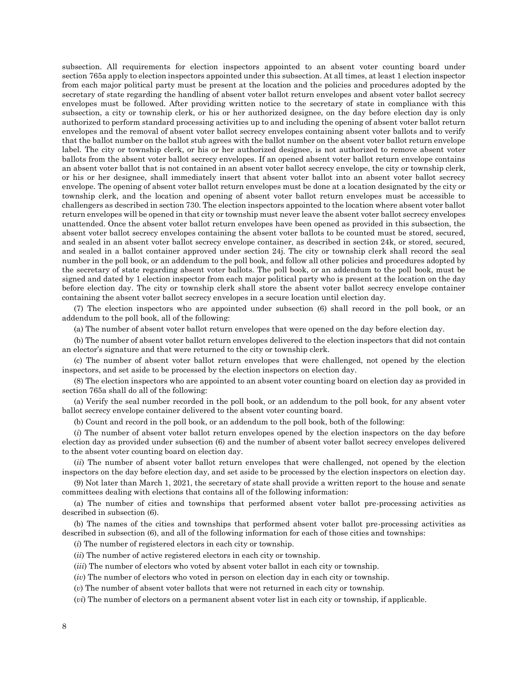subsection. All requirements for election inspectors appointed to an absent voter counting board under section 765a apply to election inspectors appointed under this subsection. At all times, at least 1 election inspector from each major political party must be present at the location and the policies and procedures adopted by the secretary of state regarding the handling of absent voter ballot return envelopes and absent voter ballot secrecy envelopes must be followed. After providing written notice to the secretary of state in compliance with this subsection, a city or township clerk, or his or her authorized designee, on the day before election day is only authorized to perform standard processing activities up to and including the opening of absent voter ballot return envelopes and the removal of absent voter ballot secrecy envelopes containing absent voter ballots and to verify that the ballot number on the ballot stub agrees with the ballot number on the absent voter ballot return envelope label. The city or township clerk, or his or her authorized designee, is not authorized to remove absent voter ballots from the absent voter ballot secrecy envelopes. If an opened absent voter ballot return envelope contains an absent voter ballot that is not contained in an absent voter ballot secrecy envelope, the city or township clerk, or his or her designee, shall immediately insert that absent voter ballot into an absent voter ballot secrecy envelope. The opening of absent voter ballot return envelopes must be done at a location designated by the city or township clerk, and the location and opening of absent voter ballot return envelopes must be accessible to challengers as described in section 730. The election inspectors appointed to the location where absent voter ballot return envelopes will be opened in that city or township must never leave the absent voter ballot secrecy envelopes unattended. Once the absent voter ballot return envelopes have been opened as provided in this subsection, the absent voter ballot secrecy envelopes containing the absent voter ballots to be counted must be stored, secured, and sealed in an absent voter ballot secrecy envelope container, as described in section 24k, or stored, secured, and sealed in a ballot container approved under section 24j. The city or township clerk shall record the seal number in the poll book, or an addendum to the poll book, and follow all other policies and procedures adopted by the secretary of state regarding absent voter ballots. The poll book, or an addendum to the poll book, must be signed and dated by 1 election inspector from each major political party who is present at the location on the day before election day. The city or township clerk shall store the absent voter ballot secrecy envelope container containing the absent voter ballot secrecy envelopes in a secure location until election day.

(7) The election inspectors who are appointed under subsection (6) shall record in the poll book, or an addendum to the poll book, all of the following:

(a) The number of absent voter ballot return envelopes that were opened on the day before election day.

(b) The number of absent voter ballot return envelopes delivered to the election inspectors that did not contain an elector's signature and that were returned to the city or township clerk.

(c) The number of absent voter ballot return envelopes that were challenged, not opened by the election inspectors, and set aside to be processed by the election inspectors on election day.

(8) The election inspectors who are appointed to an absent voter counting board on election day as provided in section 765a shall do all of the following:

(a) Verify the seal number recorded in the poll book, or an addendum to the poll book, for any absent voter ballot secrecy envelope container delivered to the absent voter counting board.

(b) Count and record in the poll book, or an addendum to the poll book, both of the following:

(*i*) The number of absent voter ballot return envelopes opened by the election inspectors on the day before election day as provided under subsection (6) and the number of absent voter ballot secrecy envelopes delivered to the absent voter counting board on election day.

(*ii*) The number of absent voter ballot return envelopes that were challenged, not opened by the election inspectors on the day before election day, and set aside to be processed by the election inspectors on election day.

(9) Not later than March 1, 2021, the secretary of state shall provide a written report to the house and senate committees dealing with elections that contains all of the following information:

(a) The number of cities and townships that performed absent voter ballot pre-processing activities as described in subsection (6).

(b) The names of the cities and townships that performed absent voter ballot pre-processing activities as described in subsection (6), and all of the following information for each of those cities and townships:

(*i*) The number of registered electors in each city or township.

(*ii*) The number of active registered electors in each city or township.

(*iii*) The number of electors who voted by absent voter ballot in each city or township.

(*iv*) The number of electors who voted in person on election day in each city or township.

(*v*) The number of absent voter ballots that were not returned in each city or township.

(*vi*) The number of electors on a permanent absent voter list in each city or township, if applicable.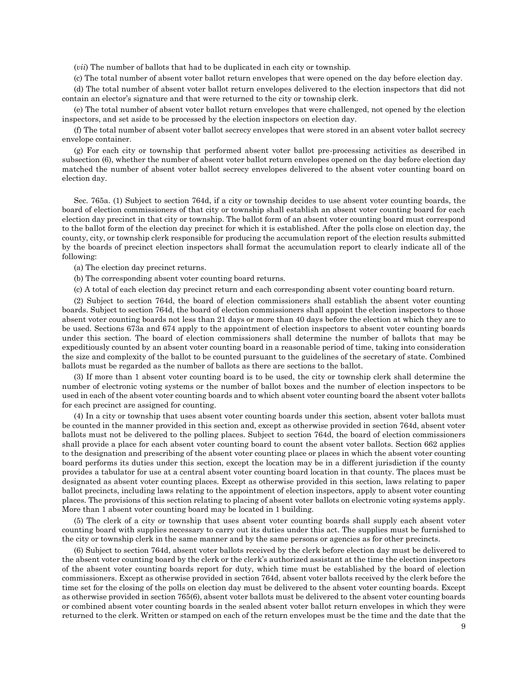(*vii*) The number of ballots that had to be duplicated in each city or township.

(c) The total number of absent voter ballot return envelopes that were opened on the day before election day.

(d) The total number of absent voter ballot return envelopes delivered to the election inspectors that did not contain an elector's signature and that were returned to the city or township clerk.

(e) The total number of absent voter ballot return envelopes that were challenged, not opened by the election inspectors, and set aside to be processed by the election inspectors on election day.

(f) The total number of absent voter ballot secrecy envelopes that were stored in an absent voter ballot secrecy envelope container.

(g) For each city or township that performed absent voter ballot pre-processing activities as described in subsection (6), whether the number of absent voter ballot return envelopes opened on the day before election day matched the number of absent voter ballot secrecy envelopes delivered to the absent voter counting board on election day.

Sec. 765a. (1) Subject to section 764d, if a city or township decides to use absent voter counting boards, the board of election commissioners of that city or township shall establish an absent voter counting board for each election day precinct in that city or township. The ballot form of an absent voter counting board must correspond to the ballot form of the election day precinct for which it is established. After the polls close on election day, the county, city, or township clerk responsible for producing the accumulation report of the election results submitted by the boards of precinct election inspectors shall format the accumulation report to clearly indicate all of the following:

(a) The election day precinct returns.

(b) The corresponding absent voter counting board returns.

(c) A total of each election day precinct return and each corresponding absent voter counting board return.

(2) Subject to section 764d, the board of election commissioners shall establish the absent voter counting boards. Subject to section 764d, the board of election commissioners shall appoint the election inspectors to those absent voter counting boards not less than 21 days or more than 40 days before the election at which they are to be used. Sections 673a and 674 apply to the appointment of election inspectors to absent voter counting boards under this section. The board of election commissioners shall determine the number of ballots that may be expeditiously counted by an absent voter counting board in a reasonable period of time, taking into consideration the size and complexity of the ballot to be counted pursuant to the guidelines of the secretary of state. Combined ballots must be regarded as the number of ballots as there are sections to the ballot.

(3) If more than 1 absent voter counting board is to be used, the city or township clerk shall determine the number of electronic voting systems or the number of ballot boxes and the number of election inspectors to be used in each of the absent voter counting boards and to which absent voter counting board the absent voter ballots for each precinct are assigned for counting.

(4) In a city or township that uses absent voter counting boards under this section, absent voter ballots must be counted in the manner provided in this section and, except as otherwise provided in section 764d, absent voter ballots must not be delivered to the polling places. Subject to section 764d, the board of election commissioners shall provide a place for each absent voter counting board to count the absent voter ballots. Section 662 applies to the designation and prescribing of the absent voter counting place or places in which the absent voter counting board performs its duties under this section, except the location may be in a different jurisdiction if the county provides a tabulator for use at a central absent voter counting board location in that county. The places must be designated as absent voter counting places. Except as otherwise provided in this section, laws relating to paper ballot precincts, including laws relating to the appointment of election inspectors, apply to absent voter counting places. The provisions of this section relating to placing of absent voter ballots on electronic voting systems apply. More than 1 absent voter counting board may be located in 1 building.

(5) The clerk of a city or township that uses absent voter counting boards shall supply each absent voter counting board with supplies necessary to carry out its duties under this act. The supplies must be furnished to the city or township clerk in the same manner and by the same persons or agencies as for other precincts.

(6) Subject to section 764d, absent voter ballots received by the clerk before election day must be delivered to the absent voter counting board by the clerk or the clerk's authorized assistant at the time the election inspectors of the absent voter counting boards report for duty, which time must be established by the board of election commissioners. Except as otherwise provided in section 764d, absent voter ballots received by the clerk before the time set for the closing of the polls on election day must be delivered to the absent voter counting boards. Except as otherwise provided in section 765(6), absent voter ballots must be delivered to the absent voter counting boards or combined absent voter counting boards in the sealed absent voter ballot return envelopes in which they were returned to the clerk. Written or stamped on each of the return envelopes must be the time and the date that the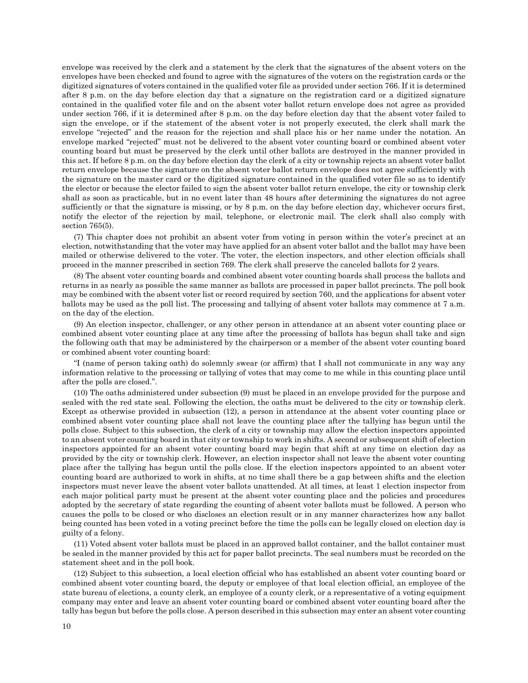envelope was received by the clerk and a statement by the clerk that the signatures of the absent voters on the envelopes have been checked and found to agree with the signatures of the voters on the registration cards or the digitized signatures of voters contained in the qualified voter file as provided under section 766. If it is determined after 8 p.m. on the day before election day that a signature on the registration card or a digitized signature contained in the qualified voter file and on the absent voter ballot return envelope does not agree as provided under section 766, if it is determined after 8 p.m. on the day before election day that the absent voter failed to sign the envelope, or if the statement of the absent voter is not properly executed, the clerk shall mark the envelope "rejected" and the reason for the rejection and shall place his or her name under the notation. An envelope marked "rejected" must not be delivered to the absent voter counting board or combined absent voter counting board but must be preserved by the clerk until other ballots are destroyed in the manner provided in this act. If before 8 p.m. on the day before election day the clerk of a city or township rejects an absent voter ballot return envelope because the signature on the absent voter ballot return envelope does not agree sufficiently with the signature on the master card or the digitized signature contained in the qualified voter file so as to identify the elector or because the elector failed to sign the absent voter ballot return envelope, the city or township clerk shall as soon as practicable, but in no event later than 48 hours after determining the signatures do not agree sufficiently or that the signature is missing, or by 8 p.m. on the day before election day, whichever occurs first, notify the elector of the rejection by mail, telephone, or electronic mail. The clerk shall also comply with section 765(5).

(7) This chapter does not prohibit an absent voter from voting in person within the voter's precinct at an election, notwithstanding that the voter may have applied for an absent voter ballot and the ballot may have been mailed or otherwise delivered to the voter. The voter, the election inspectors, and other election officials shall proceed in the manner prescribed in section 769. The clerk shall preserve the canceled ballots for 2 years.

(8) The absent voter counting boards and combined absent voter counting boards shall process the ballots and returns in as nearly as possible the same manner as ballots are processed in paper ballot precincts. The poll book may be combined with the absent voter list or record required by section 760, and the applications for absent voter ballots may be used as the poll list. The processing and tallying of absent voter ballots may commence at 7 a.m. on the day of the election.

(9) An election inspector, challenger, or any other person in attendance at an absent voter counting place or combined absent voter counting place at any time after the processing of ballots has begun shall take and sign the following oath that may be administered by the chairperson or a member of the absent voter counting board or combined absent voter counting board:

"I (name of person taking oath) do solemnly swear (or affirm) that I shall not communicate in any way any information relative to the processing or tallying of votes that may come to me while in this counting place until after the polls are closed.".

(10) The oaths administered under subsection (9) must be placed in an envelope provided for the purpose and sealed with the red state seal. Following the election, the oaths must be delivered to the city or township clerk. Except as otherwise provided in subsection (12), a person in attendance at the absent voter counting place or combined absent voter counting place shall not leave the counting place after the tallying has begun until the polls close. Subject to this subsection, the clerk of a city or township may allow the election inspectors appointed to an absent voter counting board in that city or township to work in shifts. A second or subsequent shift of election inspectors appointed for an absent voter counting board may begin that shift at any time on election day as provided by the city or township clerk. However, an election inspector shall not leave the absent voter counting place after the tallying has begun until the polls close. If the election inspectors appointed to an absent voter counting board are authorized to work in shifts, at no time shall there be a gap between shifts and the election inspectors must never leave the absent voter ballots unattended. At all times, at least 1 election inspector from each major political party must be present at the absent voter counting place and the policies and procedures adopted by the secretary of state regarding the counting of absent voter ballots must be followed. A person who causes the polls to be closed or who discloses an election result or in any manner characterizes how any ballot being counted has been voted in a voting precinct before the time the polls can be legally closed on election day is guilty of a felony.

(11) Voted absent voter ballots must be placed in an approved ballot container, and the ballot container must be sealed in the manner provided by this act for paper ballot precincts. The seal numbers must be recorded on the statement sheet and in the poll book.

(12) Subject to this subsection, a local election official who has established an absent voter counting board or combined absent voter counting board, the deputy or employee of that local election official, an employee of the state bureau of elections, a county clerk, an employee of a county clerk, or a representative of a voting equipment company may enter and leave an absent voter counting board or combined absent voter counting board after the tally has begun but before the polls close. A person described in this subsection may enter an absent voter counting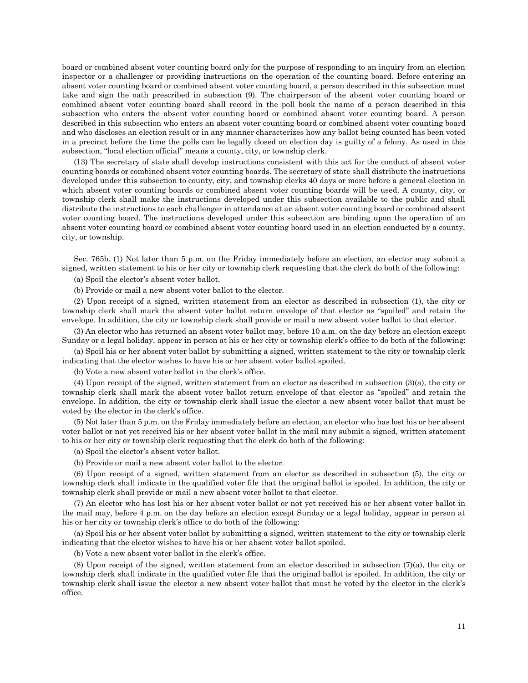board or combined absent voter counting board only for the purpose of responding to an inquiry from an election inspector or a challenger or providing instructions on the operation of the counting board. Before entering an absent voter counting board or combined absent voter counting board, a person described in this subsection must take and sign the oath prescribed in subsection (9). The chairperson of the absent voter counting board or combined absent voter counting board shall record in the poll book the name of a person described in this subsection who enters the absent voter counting board or combined absent voter counting board. A person described in this subsection who enters an absent voter counting board or combined absent voter counting board and who discloses an election result or in any manner characterizes how any ballot being counted has been voted in a precinct before the time the polls can be legally closed on election day is guilty of a felony. As used in this subsection, "local election official" means a county, city, or township clerk.

(13) The secretary of state shall develop instructions consistent with this act for the conduct of absent voter counting boards or combined absent voter counting boards. The secretary of state shall distribute the instructions developed under this subsection to county, city, and township clerks 40 days or more before a general election in which absent voter counting boards or combined absent voter counting boards will be used. A county, city, or township clerk shall make the instructions developed under this subsection available to the public and shall distribute the instructions to each challenger in attendance at an absent voter counting board or combined absent voter counting board. The instructions developed under this subsection are binding upon the operation of an absent voter counting board or combined absent voter counting board used in an election conducted by a county, city, or township.

Sec. 765b. (1) Not later than 5 p.m. on the Friday immediately before an election, an elector may submit a signed, written statement to his or her city or township clerk requesting that the clerk do both of the following:

(a) Spoil the elector's absent voter ballot.

(b) Provide or mail a new absent voter ballot to the elector.

(2) Upon receipt of a signed, written statement from an elector as described in subsection (1), the city or township clerk shall mark the absent voter ballot return envelope of that elector as "spoiled" and retain the envelope. In addition, the city or township clerk shall provide or mail a new absent voter ballot to that elector.

(3) An elector who has returned an absent voter ballot may, before 10 a.m. on the day before an election except Sunday or a legal holiday, appear in person at his or her city or township clerk's office to do both of the following:

(a) Spoil his or her absent voter ballot by submitting a signed, written statement to the city or township clerk indicating that the elector wishes to have his or her absent voter ballot spoiled.

(b) Vote a new absent voter ballot in the clerk's office.

(4) Upon receipt of the signed, written statement from an elector as described in subsection (3)(a), the city or township clerk shall mark the absent voter ballot return envelope of that elector as "spoiled" and retain the envelope. In addition, the city or township clerk shall issue the elector a new absent voter ballot that must be voted by the elector in the clerk's office.

(5) Not later than 5 p.m. on the Friday immediately before an election, an elector who has lost his or her absent voter ballot or not yet received his or her absent voter ballot in the mail may submit a signed, written statement to his or her city or township clerk requesting that the clerk do both of the following:

(a) Spoil the elector's absent voter ballot.

(b) Provide or mail a new absent voter ballot to the elector.

(6) Upon receipt of a signed, written statement from an elector as described in subsection (5), the city or township clerk shall indicate in the qualified voter file that the original ballot is spoiled. In addition, the city or township clerk shall provide or mail a new absent voter ballot to that elector.

(7) An elector who has lost his or her absent voter ballot or not yet received his or her absent voter ballot in the mail may, before 4 p.m. on the day before an election except Sunday or a legal holiday, appear in person at his or her city or township clerk's office to do both of the following:

(a) Spoil his or her absent voter ballot by submitting a signed, written statement to the city or township clerk indicating that the elector wishes to have his or her absent voter ballot spoiled.

(b) Vote a new absent voter ballot in the clerk's office.

(8) Upon receipt of the signed, written statement from an elector described in subsection (7)(a), the city or township clerk shall indicate in the qualified voter file that the original ballot is spoiled. In addition, the city or township clerk shall issue the elector a new absent voter ballot that must be voted by the elector in the clerk's office.